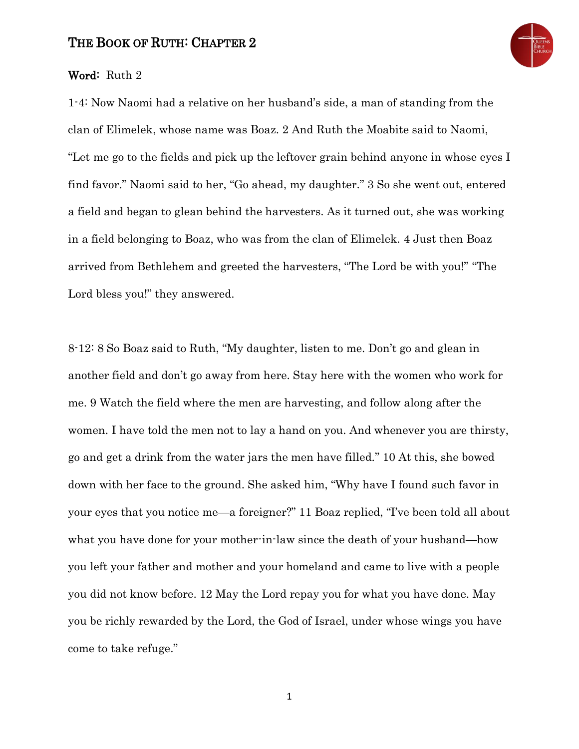## THE BOOK OF RUTH: CHAPTER 2



## Word: Ruth 2

1-4: Now Naomi had a relative on her husband's side, a man of standing from the clan of Elimelek, whose name was Boaz. 2 And Ruth the Moabite said to Naomi, "Let me go to the fields and pick up the leftover grain behind anyone in whose eyes I find favor." Naomi said to her, "Go ahead, my daughter." 3 So she went out, entered a field and began to glean behind the harvesters. As it turned out, she was working in a field belonging to Boaz, who was from the clan of Elimelek. 4 Just then Boaz arrived from Bethlehem and greeted the harvesters, "The Lord be with you!" "The Lord bless you!" they answered.

8-12: 8 So Boaz said to Ruth, "My daughter, listen to me. Don't go and glean in another field and don't go away from here. Stay here with the women who work for me. 9 Watch the field where the men are harvesting, and follow along after the women. I have told the men not to lay a hand on you. And whenever you are thirsty, go and get a drink from the water jars the men have filled." 10 At this, she bowed down with her face to the ground. She asked him, "Why have I found such favor in your eyes that you notice me—a foreigner?" 11 Boaz replied, "I've been told all about what you have done for your mother-in-law since the death of your husband—how you left your father and mother and your homeland and came to live with a people you did not know before. 12 May the Lord repay you for what you have done. May you be richly rewarded by the Lord, the God of Israel, under whose wings you have come to take refuge."

1